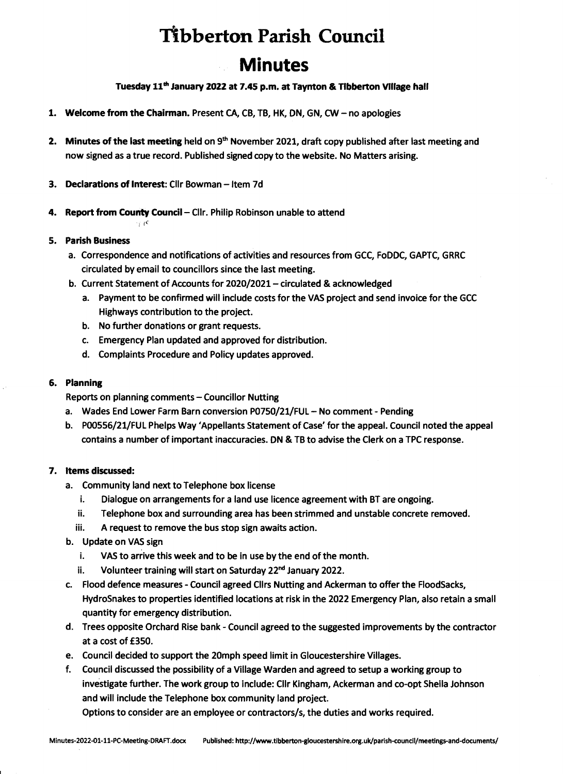# **Tibberton Parish Council Minutes**

## Tuesday 11<sup>th</sup> January 2022 at 7.45 p.m. at Taynton & Tibberton Village hall

- 1. Welcome from the Chairman. Present CA, CB, TB, HK, ON, GN, CW- no apologies
- 2. Minutes of the last meeting held on  $9<sup>th</sup>$  November 2021, draft copy published after last meeting and now signed as a true record. Published signed copy to the website. No Matters arising.
- 3. Declarations of Interest: Cllr Bowman- Item 7d

 $\gamma$   $\mu$ 

4. Report from County Council - Cllr. Philip Robinson unable to attend

### 5. Parish Business

- a. Correspondence and notifications of activities and resources from GCC, FoDDC, GAPTC, GRRC circulated by email to councillors since the last meeting.
- b. Current Statement of Accounts for 2020/2021- circulated & acknowledged
	- a. Payment to be confirmed will include costs for the VAS project and send invoice for the GCC Highways contribution to the project.
	- b. No further donations or grant requests.
	- c. Emergency Plan updated and approved for distribution.
	- d. Complaints Procedure and Policy updates approved.

### 6. Planning

Reports on planning comments- Councillor Nutting

- a. Wades End Lower Farm Barn conversion P0750/21/FUL No comment Pending
- b. POOSSG/21/FUL Phelps Way 'Appellants Statement of Case' for the appeal. Council noted the appeal contains a number of important inaccuracies. ON & TB to advise the Clerk on a TPC response.

### 7. Items discussed:

- a. Community land next to Telephone box license
	- i. Dialogue on arrangements for a land use licence agreement with BT are ongoing.
	- ii. Telephone box and surrounding area has been strimmed and unstable concrete removed.
	- iii. A request to remove the bus stop sign awaits action.
- b. Update on VAS sign
	- i. VAS to arrive this week and to be in use by the end of the month.
	- ii. Volunteer training will start on Saturday 22<sup>nd</sup> January 2022.
- c. Flood defence measures- Council agreed Cllrs Nutting and Ackerman to offer the FloodSacks, HydroSnakes to properties identified locations at risk in the 2022 Emergency Plan, also retain a small quantity for emergency distribution.
- d. Trees opposite Orchard Rise bank- Council agreed to the suggested improvements by the contractor at a cost of £350.
- e. Council decided to support the 20mph speed limit in Gloucestershire Villages.
- f. Council discussed the possibility of a Village Warden and agreed to setup a working group to investigate further. The work group to include: Cllr Kingham, Ackerman and co-opt Sheila Johnson and will include the Telephone box community land project.

Options to consider are an employee or contractors/s, the duties and works required.